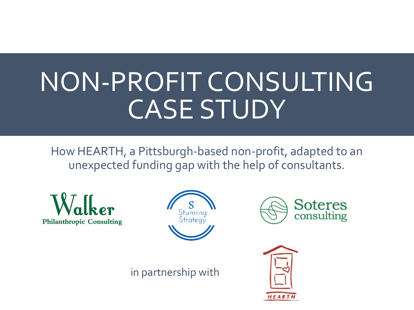# NON-PROFIT CONSULTING CASE STUDY

How HEARTH, a Pittsburgh-based non-profit, adapted to an unexpected funding gap with the help of consultants.







in partnership with

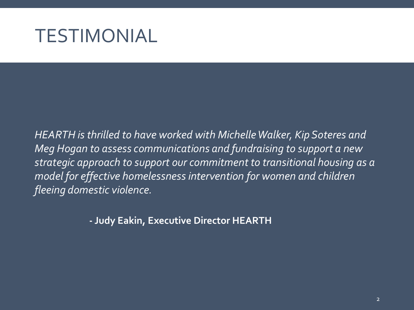#### TESTIMONIAL

*HEARTH is thrilled to have worked with Michelle Walker, Kip Soteres and Meg Hogan to assess communications and fundraising to support a new strategic approach to support our commitment to transitional housing as a model for effective homelessness intervention for women and children fleeing domestic violence.*

**- Judy Eakin, Executive Director HEARTH**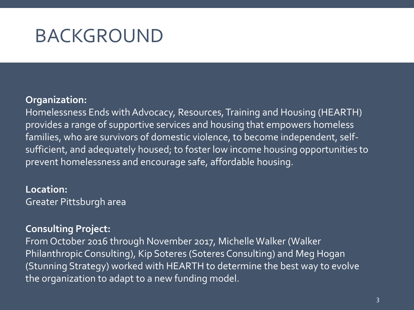### BACKGROUND

#### **Organization:**

Homelessness Ends with Advocacy, Resources, Training and Housing (HEARTH) provides a range of supportive services and housing that empowers homeless families, who are survivors of domestic violence, to become independent, selfsufficient, and adequately housed; to foster low income housing opportunities to prevent homelessness and encourage safe, affordable housing.

**Location:**  Greater Pittsburgh area

#### **Consulting Project:**

From October 2016 through November 2017, Michelle Walker (Walker Philanthropic Consulting), Kip Soteres (Soteres Consulting) and Meg Hogan (Stunning Strategy) worked with HEARTH to determine the best way to evolve the organization to adapt to a new funding model.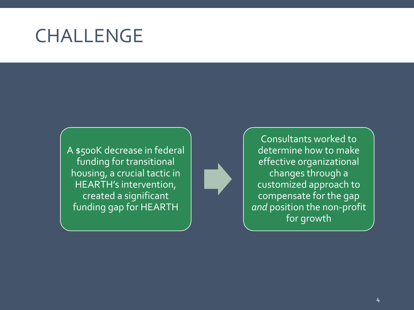### CHALLENGE

A \$500K decrease in federal funding for transitional housing, a crucial tactic in HEARTH's intervention, created a significant funding gap for HEARTH

Consultants worked to determine how to make effective organizational changes through a customized approach to compensate for the gap *and* position the non-profit for growth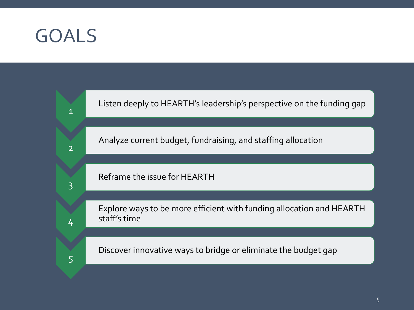#### GOALS

1

2

3

4

5

Listen deeply to HEARTH's leadership's perspective on the funding gap

Analyze current budget, fundraising, and staffing allocation

Reframe the issue for HEARTH

Explore ways to be more efficient with funding allocation and HEARTH staff's time

5

Discover innovative ways to bridge or eliminate the budget gap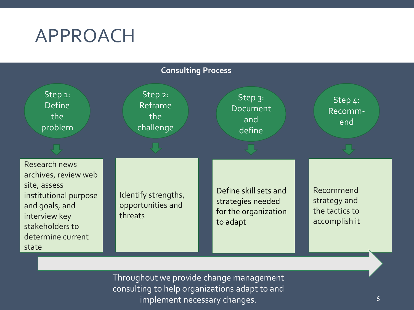### APPROACH



Throughout we provide change management consulting to help organizations adapt to and implement necessary changes.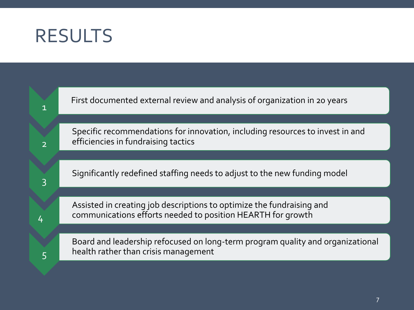### RESULTS